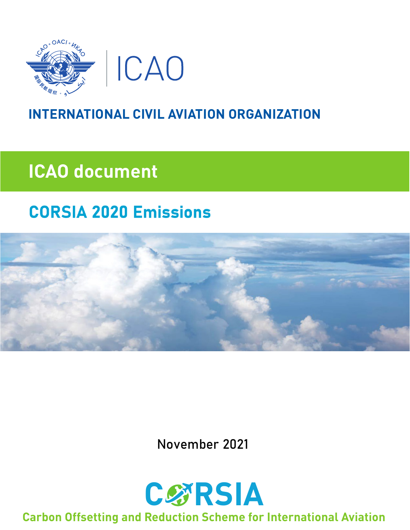

### **INTERNATIONAL CIVIL AVIATION ORGANIZATION**

# **ICAO document**

## **CORSIA 2020 Emissions**



November 2021



#### **Carbon Offsetting and Reduction Scheme for International Aviation**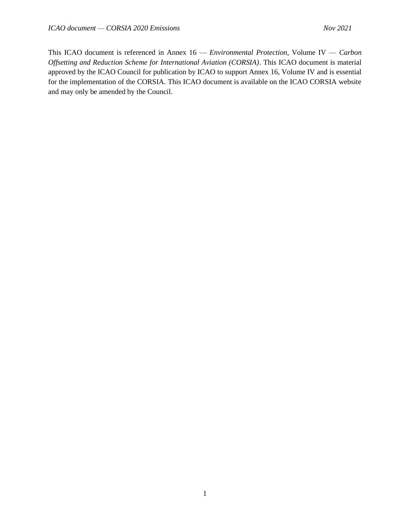This ICAO document is referenced in Annex 16 — *Environmental Protection*, Volume IV — *Carbon Offsetting and Reduction Scheme for International Aviation (CORSIA)*. This ICAO document is material approved by the ICAO Council for publication by ICAO to support Annex 16, Volume IV and is essential for the implementation of the CORSIA. This ICAO document is available on the ICAO CORSIA website and may only be amended by the Council.